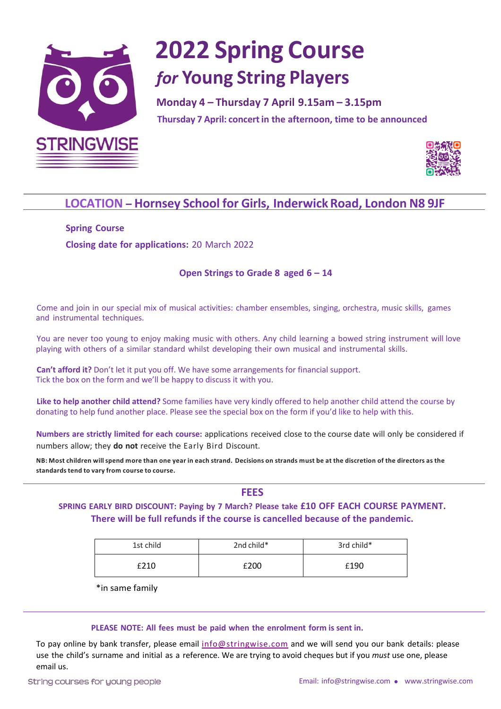

# **2022 Spring Course** *for* **Young String Players**

Monday 4 - Thursday 7 April 9.15am - 3.15pm **Thursday 7 April: concertin the afternoon, time to be announced**

**Thursday 9 April: open workshops***(morning***) & concert 1.45pm**



### **LOCATION – Hornsey School for Girls, InderwickRoad, London N8 9JF**

**Spring Course Closing date for applications:** 20 March 2022

#### **Open Strings to Grade 8 aged 6 – 14**

Come and join in our special mix of musical activities: chamber ensembles, singing, orchestra, music skills, games and instrumental techniques.

You are never too young to enjoy making music with others. Any child learning a bowed string instrument will love playing with others of a similar standard whilst developing their own musical and instrumental skills.

**Can't afford it?** Don't let it put you off. We have some arrangements for financial support. Tick the box on the form and we'll be happy to discuss it with you.

**Like to help another child attend?** Some families have very kindly offered to help another child attend the course by donating to help fund another place. Please see the special box on the form if you'd like to help with this.

**Numbers are strictly limited for each course:** applications received close to the course date will only be considered if numbers allow; they **do not** receive the Early Bird Discount.

NB: Most children will spend more than one year in each strand. Decisions on strands must be at the discretion of the directors as the **standardstend to vary from course to course.**

**FEES**

**SPRING EARLY BIRD DISCOUNT: Paying by 7 March? Please take £10 OFF EACH COURSE PAYMENT. There will be full refunds if the course is cancelled because of the pandemic.** 

| 1st child | 2nd child* | 3rd child* |  |
|-----------|------------|------------|--|
| £210      | £200       | £190       |  |

\*in same family

#### **PLEASE NOTE: All fees must be paid when the enrolment form is sent in.**

To pay online by bank transfer, please email info@stringwise.com and we will send you our bank details: please use the child's surname and initial as a reference. We are trying to avoid cheques but if you *must* use one, please email us.